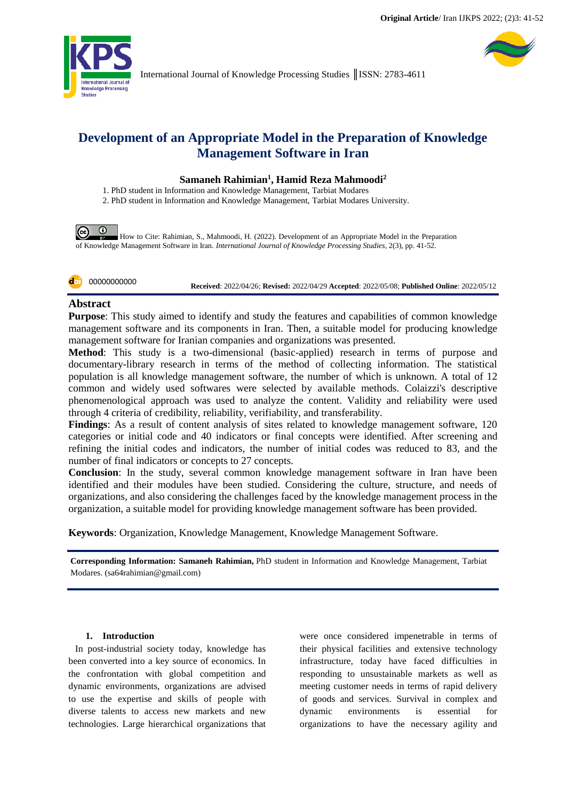

## **Development of an Appropriate Model in the Preparation of Knowledge Management Software in Iran**

### **Samaneh Rahimian<sup>1</sup> , Hamid Reza Mahmoodi<sup>2</sup>**

1. PhD student in Information and Knowledge Management, Tarbiat Modares

2. PhD student in Information and Knowledge Management, Tarbiat Modares University.

 $\odot$  $\odot$ How to Cite: Rahimian, S., Mahmoodi, H. (2022). Development of an Appropriate Model in the Preparation of Knowledge Management Software in Iran. *International Journal of Knowledge Processing Studies*, 2(3), pp. 41-52.



**Received**: 2022/04/26; **Revised:** 2022/04/29 **Accepted**: 2022/05/08; **Published Online**: 2022/05/12

### **Abstract**

**Purpose**: This study aimed to identify and study the features and capabilities of common knowledge management software and its components in Iran. Then, a suitable model for producing knowledge management software for Iranian companies and organizations was presented.

**Method**: This study is a two-dimensional (basic-applied) research in terms of purpose and documentary-library research in terms of the method of collecting information. The statistical population is all knowledge management software, the number of which is unknown. A total of 12 common and widely used softwares were selected by available methods. Colaizzi's descriptive phenomenological approach was used to analyze the content. Validity and reliability were used through 4 criteria of credibility, reliability, verifiability, and transferability.

**Findings**: As a result of content analysis of sites related to knowledge management software, 120 categories or initial code and 40 indicators or final concepts were identified. After screening and refining the initial codes and indicators, the number of initial codes was reduced to 83, and the number of final indicators or concepts to 27 concepts.

**Conclusion**: In the study, several common knowledge management software in Iran have been identified and their modules have been studied. Considering the culture, structure, and needs of organizations, and also considering the challenges faced by the knowledge management process in the organization, a suitable model for providing knowledge management software has been provided.

**Keywords**: Organization, Knowledge Management, Knowledge Management Software.

**Corresponding Information: Samaneh Rahimian,** PhD student in Information and Knowledge Management, Tarbiat Modares. (sa64rahimian@gmail.com)

#### **1. Introduction**

In post-industrial society today, knowledge has been converted into a key source of economics. In the confrontation with global competition and dynamic environments, organizations are advised to use the expertise and skills of people with diverse talents to access new markets and new technologies. Large hierarchical organizations that

were once considered impenetrable in terms of their physical facilities and extensive technology infrastructure, today have faced difficulties in responding to unsustainable markets as well as meeting customer needs in terms of rapid delivery of goods and services. Survival in complex and dynamic environments is essential for organizations to have the necessary agility and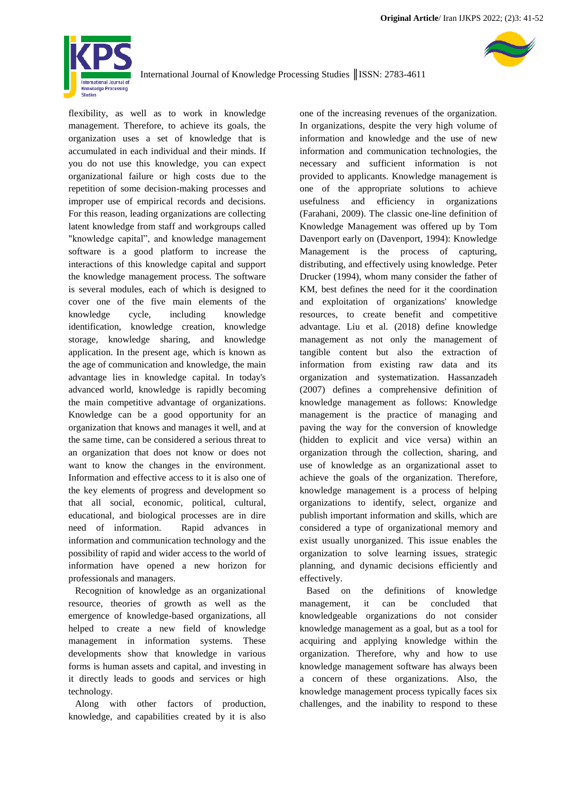

flexibility, as well as to work in knowledge management. Therefore, to achieve its goals, the organization uses a set of knowledge that is accumulated in each individual and their minds. If you do not use this knowledge, you can expect organizational failure or high costs due to the repetition of some decision-making processes and improper use of empirical records and decisions. For this reason, leading organizations are collecting latent knowledge from staff and workgroups called "knowledge capital", and knowledge management software is a good platform to increase the interactions of this knowledge capital and support the knowledge management process. The software is several modules, each of which is designed to cover one of the five main elements of the knowledge cycle, including knowledge identification, knowledge creation, knowledge storage, knowledge sharing, and knowledge application. In the present age, which is known as the age of communication and knowledge, the main advantage lies in knowledge capital. In today's advanced world, knowledge is rapidly becoming the main competitive advantage of organizations. Knowledge can be a good opportunity for an organization that knows and manages it well, and at the same time, can be considered a serious threat to an organization that does not know or does not want to know the changes in the environment. Information and effective access to it is also one of the key elements of progress and development so that all social, economic, political, cultural, educational, and biological processes are in dire need of information. Rapid advances in information and communication technology and the possibility of rapid and wider access to the world of information have opened a new horizon for professionals and managers.

Recognition of knowledge as an organizational resource, theories of growth as well as the emergence of knowledge-based organizations, all helped to create a new field of knowledge management in information systems. These developments show that knowledge in various forms is human assets and capital, and investing in it directly leads to goods and services or high technology.

Along with other factors of production, knowledge, and capabilities created by it is also one of the increasing revenues of the organization. In organizations, despite the very high volume of information and knowledge and the use of new information and communication technologies, the necessary and sufficient information is not provided to applicants. Knowledge management is one of the appropriate solutions to achieve usefulness and efficiency in organizations (Farahani, 2009). The classic one-line definition of Knowledge Management was offered up by Tom Davenport early on (Davenport, 1994): Knowledge Management is the process of capturing, distributing, and effectively using knowledge. Peter Drucker (1994), whom many consider the father of KM, best defines the need for it the coordination and exploitation of organizations' knowledge resources, to create benefit and competitive advantage. Liu et al. (2018) define knowledge management as not only the management of tangible content but also the extraction of information from existing raw data and its organization and systematization. Hassanzadeh (2007) defines a comprehensive definition of knowledge management as follows: Knowledge management is the practice of managing and paving the way for the conversion of knowledge (hidden to explicit and vice versa) within an organization through the collection, sharing, and use of knowledge as an organizational asset to achieve the goals of the organization. Therefore, knowledge management is a process of helping organizations to identify, select, organize and publish important information and skills, which are considered a type of organizational memory and exist usually unorganized. This issue enables the organization to solve learning issues, strategic planning, and dynamic decisions efficiently and effectively.

Based on the definitions of knowledge management, it can be concluded that knowledgeable organizations do not consider knowledge management as a goal, but as a tool for acquiring and applying knowledge within the organization. Therefore, why and how to use knowledge management software has always been a concern of these organizations. Also, the knowledge management process typically faces six challenges, and the inability to respond to these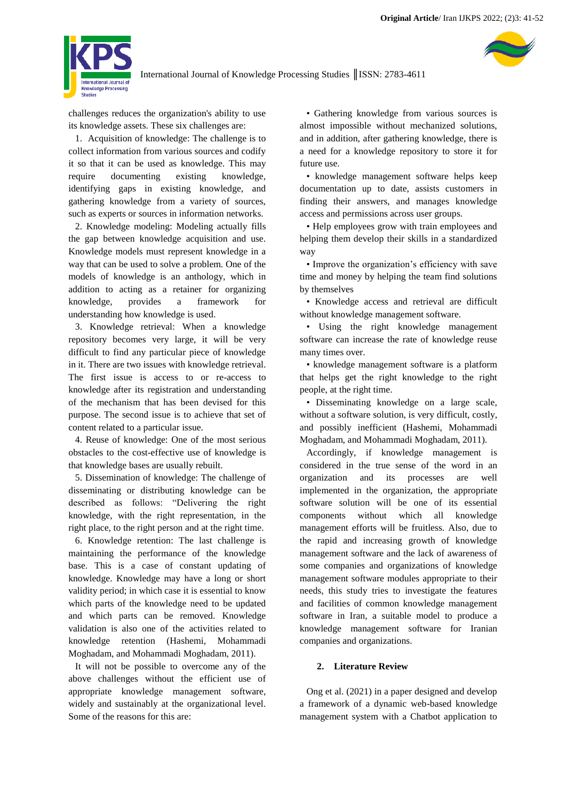

challenges reduces the organization's ability to use its knowledge assets. These six challenges are:

1. Acquisition of knowledge: The challenge is to collect information from various sources and codify it so that it can be used as knowledge. This may require documenting existing knowledge, identifying gaps in existing knowledge, and gathering knowledge from a variety of sources, such as experts or sources in information networks.

2. Knowledge modeling: Modeling actually fills the gap between knowledge acquisition and use. Knowledge models must represent knowledge in a way that can be used to solve a problem. One of the models of knowledge is an anthology, which in addition to acting as a retainer for organizing knowledge, provides a framework for understanding how knowledge is used.

3. Knowledge retrieval: When a knowledge repository becomes very large, it will be very difficult to find any particular piece of knowledge in it. There are two issues with knowledge retrieval. The first issue is access to or re-access to knowledge after its registration and understanding of the mechanism that has been devised for this purpose. The second issue is to achieve that set of content related to a particular issue.

4. Reuse of knowledge: One of the most serious obstacles to the cost-effective use of knowledge is that knowledge bases are usually rebuilt.

5. Dissemination of knowledge: The challenge of disseminating or distributing knowledge can be described as follows: "Delivering the right knowledge, with the right representation, in the right place, to the right person and at the right time.

6. Knowledge retention: The last challenge is maintaining the performance of the knowledge base. This is a case of constant updating of knowledge. Knowledge may have a long or short validity period; in which case it is essential to know which parts of the knowledge need to be updated and which parts can be removed. Knowledge validation is also one of the activities related to knowledge retention (Hashemi, Mohammadi Moghadam, and Mohammadi Moghadam, 2011).

It will not be possible to overcome any of the above challenges without the efficient use of appropriate knowledge management software, widely and sustainably at the organizational level. Some of the reasons for this are:

• Gathering knowledge from various sources is almost impossible without mechanized solutions, and in addition, after gathering knowledge, there is a need for a knowledge repository to store it for future use.

• knowledge management software helps keep documentation up to date, assists customers in finding their answers, and manages knowledge access and permissions across user groups.

• Help employees grow with train employees and helping them develop their skills in a standardized way

• Improve the organization's efficiency with save time and money by helping the team find solutions by themselves

• Knowledge access and retrieval are difficult without knowledge management software.

• Using the right knowledge management software can increase the rate of knowledge reuse many times over.

• knowledge management software is a platform that helps get the right knowledge to the right people, at the right time.

• Disseminating knowledge on a large scale, without a software solution, is very difficult, costly, and possibly inefficient (Hashemi, Mohammadi Moghadam, and Mohammadi Moghadam, 2011).

Accordingly, if knowledge management is considered in the true sense of the word in an organization and its processes are well implemented in the organization, the appropriate software solution will be one of its essential components without which all knowledge management efforts will be fruitless. Also, due to the rapid and increasing growth of knowledge management software and the lack of awareness of some companies and organizations of knowledge management software modules appropriate to their needs, this study tries to investigate the features and facilities of common knowledge management software in Iran, a suitable model to produce a knowledge management software for Iranian companies and organizations.

#### **2. Literature Review**

Ong et al. (2021) in a paper designed and develop a framework of a dynamic web-based knowledge management system with a Chatbot application to

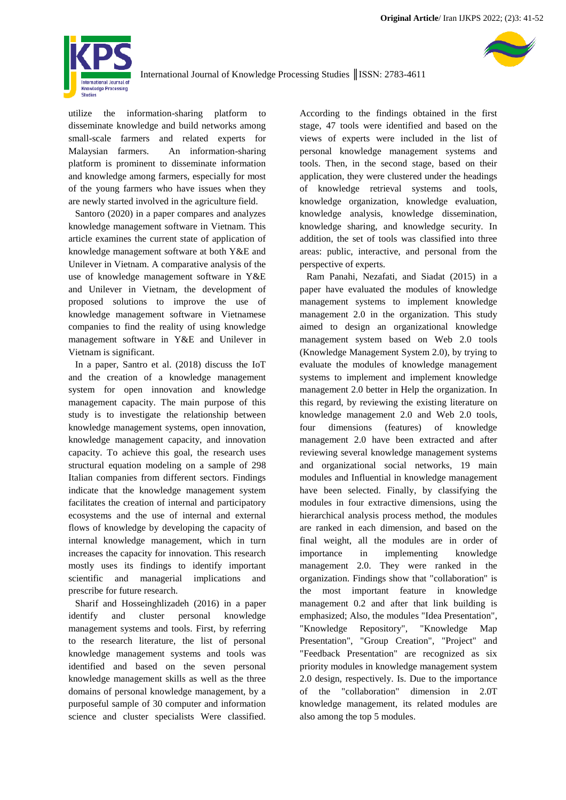

utilize the information-sharing platform to disseminate knowledge and build networks among small-scale farmers and related experts for Malaysian farmers. An information-sharing platform is prominent to disseminate information and knowledge among farmers, especially for most of the young farmers who have issues when they are newly started involved in the agriculture field.

Santoro (2020) in a paper compares and analyzes knowledge management software in Vietnam. This article examines the current state of application of knowledge management software at both Y&E and Unilever in Vietnam. A comparative analysis of the use of knowledge management software in Y&E and Unilever in Vietnam, the development of proposed solutions to improve the use of knowledge management software in Vietnamese companies to find the reality of using knowledge management software in Y&E and Unilever in Vietnam is significant.

In a paper, Santro et al. (2018) discuss the IoT and the creation of a knowledge management system for open innovation and knowledge management capacity. The main purpose of this study is to investigate the relationship between knowledge management systems, open innovation, knowledge management capacity, and innovation capacity. To achieve this goal, the research uses structural equation modeling on a sample of 298 Italian companies from different sectors. Findings indicate that the knowledge management system facilitates the creation of internal and participatory ecosystems and the use of internal and external flows of knowledge by developing the capacity of internal knowledge management, which in turn increases the capacity for innovation. This research mostly uses its findings to identify important scientific and managerial implications and prescribe for future research.

Sharif and Hosseinghlizadeh (2016) in a paper identify and cluster personal knowledge management systems and tools. First, by referring to the research literature, the list of personal knowledge management systems and tools was identified and based on the seven personal knowledge management skills as well as the three domains of personal knowledge management, by a purposeful sample of 30 computer and information science and cluster specialists Were classified. According to the findings obtained in the first stage, 47 tools were identified and based on the views of experts were included in the list of personal knowledge management systems and tools. Then, in the second stage, based on their application, they were clustered under the headings of knowledge retrieval systems and tools, knowledge organization, knowledge evaluation, knowledge analysis, knowledge dissemination, knowledge sharing, and knowledge security. In addition, the set of tools was classified into three areas: public, interactive, and personal from the perspective of experts.

Ram Panahi, Nezafati, and Siadat (2015) in a paper have evaluated the modules of knowledge management systems to implement knowledge management 2.0 in the organization. This study aimed to design an organizational knowledge management system based on Web 2.0 tools (Knowledge Management System 2.0), by trying to evaluate the modules of knowledge management systems to implement and implement knowledge management 2.0 better in Help the organization. In this regard, by reviewing the existing literature on knowledge management 2.0 and Web 2.0 tools, four dimensions (features) of knowledge management 2.0 have been extracted and after reviewing several knowledge management systems and organizational social networks, 19 main modules and Influential in knowledge management have been selected. Finally, by classifying the modules in four extractive dimensions, using the hierarchical analysis process method, the modules are ranked in each dimension, and based on the final weight, all the modules are in order of importance in implementing knowledge management 2.0. They were ranked in the organization. Findings show that "collaboration" is the most important feature in knowledge management 0.2 and after that link building is emphasized; Also, the modules "Idea Presentation", "Knowledge Repository", "Knowledge Map Presentation", "Group Creation", "Project" and "Feedback Presentation" are recognized as six priority modules in knowledge management system 2.0 design, respectively. Is. Due to the importance of the "collaboration" dimension in 2.0T knowledge management, its related modules are also among the top 5 modules.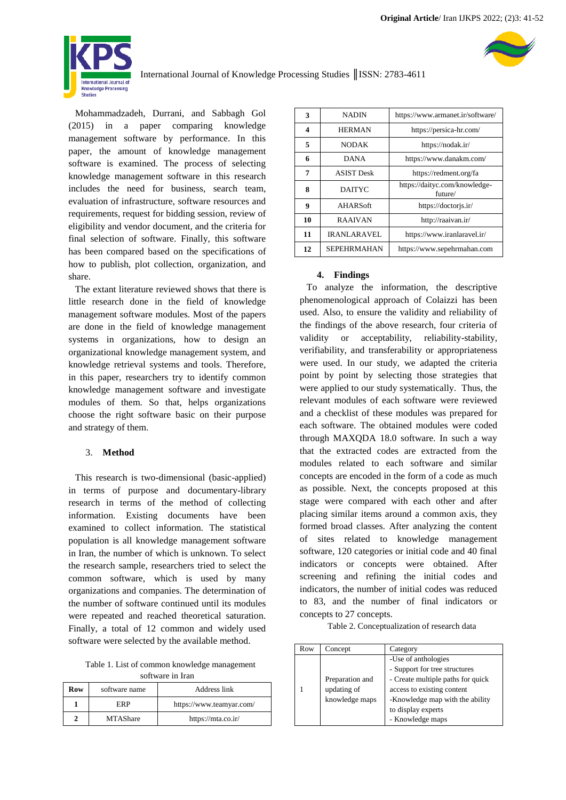

Mohammadzadeh, Durrani, and Sabbagh Gol (2015) in a paper comparing knowledge management software by performance. In this paper, the amount of knowledge management software is examined. The process of selecting knowledge management software in this research includes the need for business, search team, evaluation of infrastructure, software resources and requirements, request for bidding session, review of eligibility and vendor document, and the criteria for final selection of software. Finally, this software has been compared based on the specifications of how to publish, plot collection, organization, and share.

The extant literature reviewed shows that there is little research done in the field of knowledge management software modules. Most of the papers are done in the field of knowledge management systems in organizations, how to design an organizational knowledge management system, and knowledge retrieval systems and tools. Therefore, in this paper, researchers try to identify common knowledge management software and investigate modules of them. So that, helps organizations choose the right software basic on their purpose and strategy of them.

## 3. **Method**

This research is two-dimensional (basic-applied) in terms of purpose and documentary-library research in terms of the method of collecting information. Existing documents have been examined to collect information. The statistical population is all knowledge management software in Iran, the number of which is unknown. To select the research sample, researchers tried to select the common software, which is used by many organizations and companies. The determination of the number of software continued until its modules were repeated and reached theoretical saturation. Finally, a total of 12 common and widely used software were selected by the available method.

Table 1. List of common knowledge management software in Iran

| Row | software name   | Address link             |  |
|-----|-----------------|--------------------------|--|
|     | <b>ERP</b>      | https://www.teamyar.com/ |  |
|     | <b>MTAShare</b> | https://mta.co.ir/       |  |

| 3  | NADIN              | https://www.armanet.ir/software/         |  |
|----|--------------------|------------------------------------------|--|
| 4  | <b>HERMAN</b>      | https://persica-hr.com/                  |  |
| 5  | <b>NODAK</b>       | https://nodak.ir/                        |  |
| 6  | <b>DANA</b>        | https://www.danakm.com/                  |  |
| 7  | <b>ASIST Desk</b>  | https://redment.org/fa                   |  |
| 8  | DAITYC             | https://daityc.com/knowledge-<br>future/ |  |
| 9  | AHARSoft           | https://doctoris.ir/                     |  |
| 10 | <b>RAAIVAN</b>     | http://raaivan.ir/                       |  |
| 11 | <b>IRANLARAVEL</b> | https://www.iranlaravel.ir/              |  |
| 12 | <b>SEPEHRMAHAN</b> | https://www.sepehrmahan.com              |  |

## **4. Findings**

To analyze the information, the descriptive phenomenological approach of Colaizzi has been used. Also, to ensure the validity and reliability of the findings of the above research, four criteria of validity or acceptability, reliability-stability, verifiability, and transferability or appropriateness were used. In our study, we adapted the criteria point by point by selecting those strategies that were applied to our study systematically. Thus, the relevant modules of each software were reviewed and a checklist of these modules was prepared for each software. The obtained modules were coded through MAXQDA 18.0 software. In such a way that the extracted codes are extracted from the modules related to each software and similar concepts are encoded in the form of a code as much as possible. Next, the concepts proposed at this stage were compared with each other and after placing similar items around a common axis, they formed broad classes. After analyzing the content of sites related to knowledge management software, 120 categories or initial code and 40 final indicators or concepts were obtained. After screening and refining the initial codes and indicators, the number of initial codes was reduced to 83, and the number of final indicators or concepts to 27 concepts.

Table 2. Conceptualization of research data

| Row | Concept                                          | Category                                                                                                                                                                                             |
|-----|--------------------------------------------------|------------------------------------------------------------------------------------------------------------------------------------------------------------------------------------------------------|
|     | Preparation and<br>updating of<br>knowledge maps | -Use of anthologies<br>- Support for tree structures<br>- Create multiple paths for quick<br>access to existing content<br>-Knowledge map with the ability<br>to display experts<br>- Knowledge maps |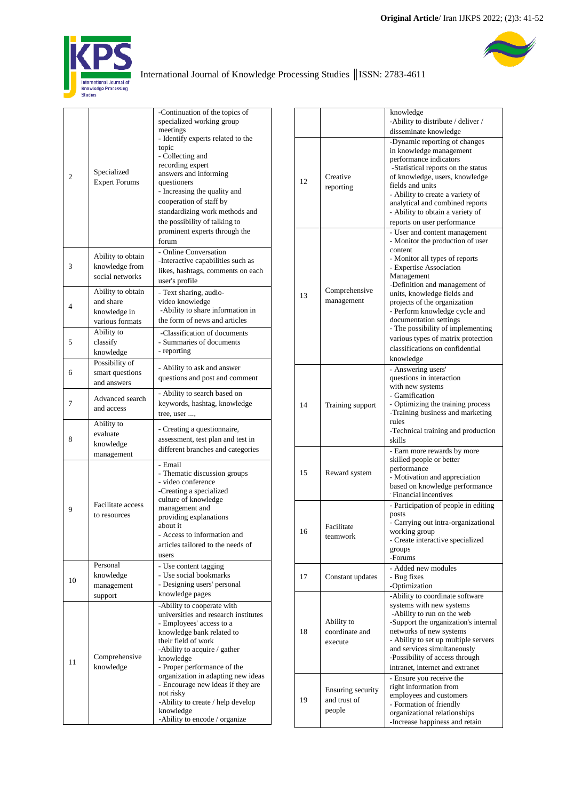

# [International Journal of Knowledge Processing Studies](http://kps.artahub.ir/) ║ISSN: 2783-4611

| $\overline{c}$ | Specialized<br><b>Expert Forums</b>                               | -Continuation of the topics of<br>specialized working group<br>meetings<br>- Identify experts related to the<br>topic<br>- Collecting and<br>recording expert<br>answers and informing<br>questioners<br>- Increasing the quality and<br>cooperation of staff by<br>standardizing work methods and<br>the possibility of talking to<br>prominent experts through the<br>forum                             |  |  |  |
|----------------|-------------------------------------------------------------------|-----------------------------------------------------------------------------------------------------------------------------------------------------------------------------------------------------------------------------------------------------------------------------------------------------------------------------------------------------------------------------------------------------------|--|--|--|
| 3              | Ability to obtain<br>knowledge from<br>social networks            | - Online Conversation<br>-Interactive capabilities such as<br>likes, hashtags, comments on each<br>user's profile                                                                                                                                                                                                                                                                                         |  |  |  |
| 4              | Ability to obtain<br>and share<br>knowledge in<br>various formats | - Text sharing, audio-<br>video knowledge<br>-Ability to share information in<br>the form of news and articles                                                                                                                                                                                                                                                                                            |  |  |  |
| 5              | Ability to<br>classify<br>knowledge                               | -Classification of documents<br>- Summaries of documents<br>- reporting                                                                                                                                                                                                                                                                                                                                   |  |  |  |
| 6              | Possibility of<br>smart questions<br>and answers                  | - Ability to ask and answer<br>questions and post and comment                                                                                                                                                                                                                                                                                                                                             |  |  |  |
| 7              | Advanced search<br>and access                                     | - Ability to search based on<br>keywords, hashtag, knowledge<br>tree, user ,                                                                                                                                                                                                                                                                                                                              |  |  |  |
| 8              | Ability to<br>evaluate<br>knowledge<br>management                 | - Creating a questionnaire,<br>assessment, test plan and test in<br>different branches and categories                                                                                                                                                                                                                                                                                                     |  |  |  |
| 9              | <b>Facilitate access</b><br>to resources                          | - Email<br>- Thematic discussion groups<br>- video conference<br>-Creating a specialized<br>culture of knowledge<br>management and<br>providing explanations<br>about it<br>- Access to information and<br>articles tailored to the needs of<br>users                                                                                                                                                     |  |  |  |
| 10             | Personal<br>knowledge<br>management<br>support                    | - Use content tagging<br>- Use social bookmarks<br>- Designing users' personal<br>knowledge pages                                                                                                                                                                                                                                                                                                         |  |  |  |
| 11             | Comprehensive<br>knowledge                                        | -Ability to cooperate with<br>universities and research institutes<br>- Employees' access to a<br>knowledge bank related to<br>their field of work<br>-Ability to acquire / gather<br>knowledge<br>- Proper performance of the<br>organization in adapting new ideas<br>- Encourage new ideas if they are<br>not risky<br>-Ability to create / help develop<br>knowledge<br>-Ability to encode / organize |  |  |  |

|    |                                             | knowledge                                                                                                                                                                                                                                                                                                                                                                                                    |
|----|---------------------------------------------|--------------------------------------------------------------------------------------------------------------------------------------------------------------------------------------------------------------------------------------------------------------------------------------------------------------------------------------------------------------------------------------------------------------|
|    |                                             | -Ability to distribute / deliver /                                                                                                                                                                                                                                                                                                                                                                           |
|    |                                             | disseminate knowledge                                                                                                                                                                                                                                                                                                                                                                                        |
| 12 | Creative<br>reporting                       | -Dynamic reporting of changes<br>in knowledge management<br>performance indicators<br>-Statistical reports on the status<br>of knowledge, users, knowledge<br>fields and units<br>- Ability to create a variety of<br>analytical and combined reports<br>- Ability to obtain a variety of<br>reports on user performance                                                                                     |
|    |                                             | - User and content management                                                                                                                                                                                                                                                                                                                                                                                |
| 13 | Comprehensive<br>management                 | - Monitor the production of user<br>content<br>- Monitor all types of reports<br>- Expertise Association<br>Management<br>-Definition and management of<br>units, knowledge fields and<br>projects of the organization<br>- Perform knowledge cycle and<br>documentation settings<br>- The possibility of implementing<br>various types of matrix protection<br>classifications on confidential<br>knowledge |
| 14 | Training support                            | - Answering users'<br>questions in interaction<br>with new systems<br>- Gamification<br>- Optimizing the training process<br>-Training business and marketing<br>rules<br>-Technical training and production<br>skills                                                                                                                                                                                       |
| 15 | Reward system                               | - Earn more rewards by more<br>skilled people or better<br>performance<br>- Motivation and appreciation<br>based on knowledge performance<br>Financial incentives                                                                                                                                                                                                                                            |
| 16 | Facilitate<br>teamwork                      | - Participation of people in editing<br>posts<br>- Carrying out intra-organizational<br>working group<br>- Create interactive specialized<br>groups<br>-Forums                                                                                                                                                                                                                                               |
| 17 | Constant updates                            | - Added new modules<br>- Bug fixes<br>-Optimization                                                                                                                                                                                                                                                                                                                                                          |
| 18 | Ability to<br>coordinate and<br>execute     | -Ability to coordinate software<br>systems with new systems<br>-Ability to run on the web<br>-Support the organization's internal<br>networks of new systems<br>- Ability to set up multiple servers<br>and services simultaneously<br>-Possibility of access through<br>intranet, internet and extranet                                                                                                     |
| 19 | Ensuring security<br>and trust of<br>people | - Ensure you receive the<br>right information from<br>employees and customers<br>- Formation of friendly<br>organizational relationships<br>-Increase happiness and retain                                                                                                                                                                                                                                   |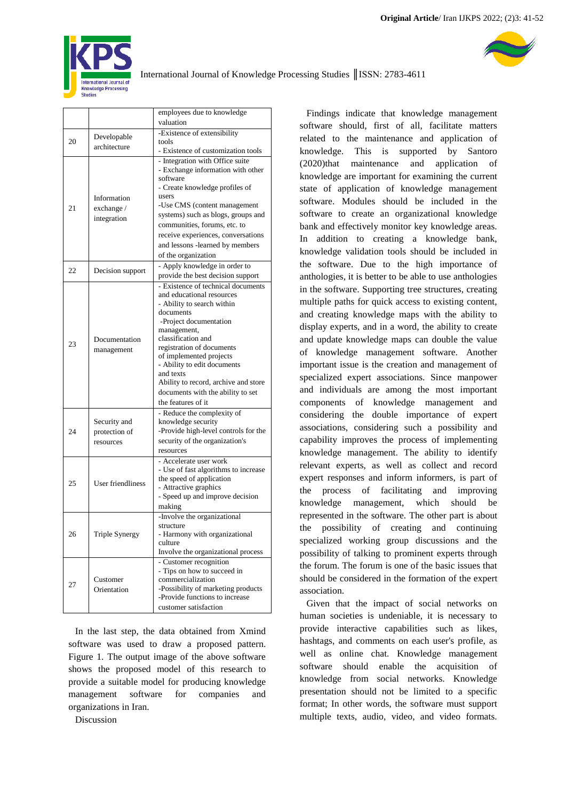| Original Article/ Iran IJKPS 2022; (2)3: 41-52 |  |  |  |  |  |
|------------------------------------------------|--|--|--|--|--|
|------------------------------------------------|--|--|--|--|--|

| valuation<br>-Existence of extensibility<br>Developable<br>20<br>tools<br>architecture<br>- Existence of customization tools<br>- Integration with Office suite<br>- Exchange information with other<br>software<br>- Create knowledge profiles of<br>users<br>Information<br>-Use CMS (content management<br>21<br>exchange /<br>systems) such as blogs, groups and<br>integration<br>communities, forums, etc. to<br>receive experiences, conversations<br>and lessons -learned by members<br>of the organization<br>- Apply knowledge in order to<br>22<br>Decision support<br>provide the best decision support<br>- Existence of technical documents<br>and educational resources<br>- Ability to search within<br>documents<br>-Project documentation<br>management,<br>classification and<br>Documentation<br>23<br>registration of documents<br>management<br>of implemented projects<br>- Ability to edit documents<br>and texts<br>Ability to record, archive and store<br>documents with the ability to set<br>the features of it<br>- Reduce the complexity of<br>knowledge security<br>Security and<br>-Provide high-level controls for the<br>24<br>protection of<br>security of the organization's<br>resources<br>resources<br>- Accelerate user work<br>- Use of fast algorithms to increase<br>the speed of application<br><b>User friendliness</b><br>25<br>- Attractive graphics<br>- Speed up and improve decision<br>making<br>-Involve the organizational<br>structure<br>Triple Synergy<br>- Harmony with organizational<br>26<br>culture<br>Involve the organizational process<br>- Customer recognition<br>- Tips on how to succeed in<br>commercialization<br>Customer<br>27<br>-Possibility of marketing products<br>Orientation<br>-Provide functions to increase<br>customer satisfaction |  |  |                            |  |  |  |
|-------------------------------------------------------------------------------------------------------------------------------------------------------------------------------------------------------------------------------------------------------------------------------------------------------------------------------------------------------------------------------------------------------------------------------------------------------------------------------------------------------------------------------------------------------------------------------------------------------------------------------------------------------------------------------------------------------------------------------------------------------------------------------------------------------------------------------------------------------------------------------------------------------------------------------------------------------------------------------------------------------------------------------------------------------------------------------------------------------------------------------------------------------------------------------------------------------------------------------------------------------------------------------------------------------------------------------------------------------------------------------------------------------------------------------------------------------------------------------------------------------------------------------------------------------------------------------------------------------------------------------------------------------------------------------------------------------------------------------------------------------------------------------------------------------------------------|--|--|----------------------------|--|--|--|
|                                                                                                                                                                                                                                                                                                                                                                                                                                                                                                                                                                                                                                                                                                                                                                                                                                                                                                                                                                                                                                                                                                                                                                                                                                                                                                                                                                                                                                                                                                                                                                                                                                                                                                                                                                                                                         |  |  | employees due to knowledge |  |  |  |
|                                                                                                                                                                                                                                                                                                                                                                                                                                                                                                                                                                                                                                                                                                                                                                                                                                                                                                                                                                                                                                                                                                                                                                                                                                                                                                                                                                                                                                                                                                                                                                                                                                                                                                                                                                                                                         |  |  |                            |  |  |  |
|                                                                                                                                                                                                                                                                                                                                                                                                                                                                                                                                                                                                                                                                                                                                                                                                                                                                                                                                                                                                                                                                                                                                                                                                                                                                                                                                                                                                                                                                                                                                                                                                                                                                                                                                                                                                                         |  |  |                            |  |  |  |
|                                                                                                                                                                                                                                                                                                                                                                                                                                                                                                                                                                                                                                                                                                                                                                                                                                                                                                                                                                                                                                                                                                                                                                                                                                                                                                                                                                                                                                                                                                                                                                                                                                                                                                                                                                                                                         |  |  |                            |  |  |  |
|                                                                                                                                                                                                                                                                                                                                                                                                                                                                                                                                                                                                                                                                                                                                                                                                                                                                                                                                                                                                                                                                                                                                                                                                                                                                                                                                                                                                                                                                                                                                                                                                                                                                                                                                                                                                                         |  |  |                            |  |  |  |
|                                                                                                                                                                                                                                                                                                                                                                                                                                                                                                                                                                                                                                                                                                                                                                                                                                                                                                                                                                                                                                                                                                                                                                                                                                                                                                                                                                                                                                                                                                                                                                                                                                                                                                                                                                                                                         |  |  |                            |  |  |  |
|                                                                                                                                                                                                                                                                                                                                                                                                                                                                                                                                                                                                                                                                                                                                                                                                                                                                                                                                                                                                                                                                                                                                                                                                                                                                                                                                                                                                                                                                                                                                                                                                                                                                                                                                                                                                                         |  |  |                            |  |  |  |
|                                                                                                                                                                                                                                                                                                                                                                                                                                                                                                                                                                                                                                                                                                                                                                                                                                                                                                                                                                                                                                                                                                                                                                                                                                                                                                                                                                                                                                                                                                                                                                                                                                                                                                                                                                                                                         |  |  |                            |  |  |  |
|                                                                                                                                                                                                                                                                                                                                                                                                                                                                                                                                                                                                                                                                                                                                                                                                                                                                                                                                                                                                                                                                                                                                                                                                                                                                                                                                                                                                                                                                                                                                                                                                                                                                                                                                                                                                                         |  |  |                            |  |  |  |
|                                                                                                                                                                                                                                                                                                                                                                                                                                                                                                                                                                                                                                                                                                                                                                                                                                                                                                                                                                                                                                                                                                                                                                                                                                                                                                                                                                                                                                                                                                                                                                                                                                                                                                                                                                                                                         |  |  |                            |  |  |  |
|                                                                                                                                                                                                                                                                                                                                                                                                                                                                                                                                                                                                                                                                                                                                                                                                                                                                                                                                                                                                                                                                                                                                                                                                                                                                                                                                                                                                                                                                                                                                                                                                                                                                                                                                                                                                                         |  |  |                            |  |  |  |
|                                                                                                                                                                                                                                                                                                                                                                                                                                                                                                                                                                                                                                                                                                                                                                                                                                                                                                                                                                                                                                                                                                                                                                                                                                                                                                                                                                                                                                                                                                                                                                                                                                                                                                                                                                                                                         |  |  |                            |  |  |  |
|                                                                                                                                                                                                                                                                                                                                                                                                                                                                                                                                                                                                                                                                                                                                                                                                                                                                                                                                                                                                                                                                                                                                                                                                                                                                                                                                                                                                                                                                                                                                                                                                                                                                                                                                                                                                                         |  |  |                            |  |  |  |
|                                                                                                                                                                                                                                                                                                                                                                                                                                                                                                                                                                                                                                                                                                                                                                                                                                                                                                                                                                                                                                                                                                                                                                                                                                                                                                                                                                                                                                                                                                                                                                                                                                                                                                                                                                                                                         |  |  |                            |  |  |  |
|                                                                                                                                                                                                                                                                                                                                                                                                                                                                                                                                                                                                                                                                                                                                                                                                                                                                                                                                                                                                                                                                                                                                                                                                                                                                                                                                                                                                                                                                                                                                                                                                                                                                                                                                                                                                                         |  |  |                            |  |  |  |
|                                                                                                                                                                                                                                                                                                                                                                                                                                                                                                                                                                                                                                                                                                                                                                                                                                                                                                                                                                                                                                                                                                                                                                                                                                                                                                                                                                                                                                                                                                                                                                                                                                                                                                                                                                                                                         |  |  |                            |  |  |  |
|                                                                                                                                                                                                                                                                                                                                                                                                                                                                                                                                                                                                                                                                                                                                                                                                                                                                                                                                                                                                                                                                                                                                                                                                                                                                                                                                                                                                                                                                                                                                                                                                                                                                                                                                                                                                                         |  |  |                            |  |  |  |
|                                                                                                                                                                                                                                                                                                                                                                                                                                                                                                                                                                                                                                                                                                                                                                                                                                                                                                                                                                                                                                                                                                                                                                                                                                                                                                                                                                                                                                                                                                                                                                                                                                                                                                                                                                                                                         |  |  |                            |  |  |  |
|                                                                                                                                                                                                                                                                                                                                                                                                                                                                                                                                                                                                                                                                                                                                                                                                                                                                                                                                                                                                                                                                                                                                                                                                                                                                                                                                                                                                                                                                                                                                                                                                                                                                                                                                                                                                                         |  |  |                            |  |  |  |
|                                                                                                                                                                                                                                                                                                                                                                                                                                                                                                                                                                                                                                                                                                                                                                                                                                                                                                                                                                                                                                                                                                                                                                                                                                                                                                                                                                                                                                                                                                                                                                                                                                                                                                                                                                                                                         |  |  |                            |  |  |  |
|                                                                                                                                                                                                                                                                                                                                                                                                                                                                                                                                                                                                                                                                                                                                                                                                                                                                                                                                                                                                                                                                                                                                                                                                                                                                                                                                                                                                                                                                                                                                                                                                                                                                                                                                                                                                                         |  |  |                            |  |  |  |
|                                                                                                                                                                                                                                                                                                                                                                                                                                                                                                                                                                                                                                                                                                                                                                                                                                                                                                                                                                                                                                                                                                                                                                                                                                                                                                                                                                                                                                                                                                                                                                                                                                                                                                                                                                                                                         |  |  |                            |  |  |  |
|                                                                                                                                                                                                                                                                                                                                                                                                                                                                                                                                                                                                                                                                                                                                                                                                                                                                                                                                                                                                                                                                                                                                                                                                                                                                                                                                                                                                                                                                                                                                                                                                                                                                                                                                                                                                                         |  |  |                            |  |  |  |
|                                                                                                                                                                                                                                                                                                                                                                                                                                                                                                                                                                                                                                                                                                                                                                                                                                                                                                                                                                                                                                                                                                                                                                                                                                                                                                                                                                                                                                                                                                                                                                                                                                                                                                                                                                                                                         |  |  |                            |  |  |  |
|                                                                                                                                                                                                                                                                                                                                                                                                                                                                                                                                                                                                                                                                                                                                                                                                                                                                                                                                                                                                                                                                                                                                                                                                                                                                                                                                                                                                                                                                                                                                                                                                                                                                                                                                                                                                                         |  |  |                            |  |  |  |
|                                                                                                                                                                                                                                                                                                                                                                                                                                                                                                                                                                                                                                                                                                                                                                                                                                                                                                                                                                                                                                                                                                                                                                                                                                                                                                                                                                                                                                                                                                                                                                                                                                                                                                                                                                                                                         |  |  |                            |  |  |  |
|                                                                                                                                                                                                                                                                                                                                                                                                                                                                                                                                                                                                                                                                                                                                                                                                                                                                                                                                                                                                                                                                                                                                                                                                                                                                                                                                                                                                                                                                                                                                                                                                                                                                                                                                                                                                                         |  |  |                            |  |  |  |
|                                                                                                                                                                                                                                                                                                                                                                                                                                                                                                                                                                                                                                                                                                                                                                                                                                                                                                                                                                                                                                                                                                                                                                                                                                                                                                                                                                                                                                                                                                                                                                                                                                                                                                                                                                                                                         |  |  |                            |  |  |  |
|                                                                                                                                                                                                                                                                                                                                                                                                                                                                                                                                                                                                                                                                                                                                                                                                                                                                                                                                                                                                                                                                                                                                                                                                                                                                                                                                                                                                                                                                                                                                                                                                                                                                                                                                                                                                                         |  |  |                            |  |  |  |
|                                                                                                                                                                                                                                                                                                                                                                                                                                                                                                                                                                                                                                                                                                                                                                                                                                                                                                                                                                                                                                                                                                                                                                                                                                                                                                                                                                                                                                                                                                                                                                                                                                                                                                                                                                                                                         |  |  |                            |  |  |  |
|                                                                                                                                                                                                                                                                                                                                                                                                                                                                                                                                                                                                                                                                                                                                                                                                                                                                                                                                                                                                                                                                                                                                                                                                                                                                                                                                                                                                                                                                                                                                                                                                                                                                                                                                                                                                                         |  |  |                            |  |  |  |
|                                                                                                                                                                                                                                                                                                                                                                                                                                                                                                                                                                                                                                                                                                                                                                                                                                                                                                                                                                                                                                                                                                                                                                                                                                                                                                                                                                                                                                                                                                                                                                                                                                                                                                                                                                                                                         |  |  |                            |  |  |  |
|                                                                                                                                                                                                                                                                                                                                                                                                                                                                                                                                                                                                                                                                                                                                                                                                                                                                                                                                                                                                                                                                                                                                                                                                                                                                                                                                                                                                                                                                                                                                                                                                                                                                                                                                                                                                                         |  |  |                            |  |  |  |
|                                                                                                                                                                                                                                                                                                                                                                                                                                                                                                                                                                                                                                                                                                                                                                                                                                                                                                                                                                                                                                                                                                                                                                                                                                                                                                                                                                                                                                                                                                                                                                                                                                                                                                                                                                                                                         |  |  |                            |  |  |  |
|                                                                                                                                                                                                                                                                                                                                                                                                                                                                                                                                                                                                                                                                                                                                                                                                                                                                                                                                                                                                                                                                                                                                                                                                                                                                                                                                                                                                                                                                                                                                                                                                                                                                                                                                                                                                                         |  |  |                            |  |  |  |
|                                                                                                                                                                                                                                                                                                                                                                                                                                                                                                                                                                                                                                                                                                                                                                                                                                                                                                                                                                                                                                                                                                                                                                                                                                                                                                                                                                                                                                                                                                                                                                                                                                                                                                                                                                                                                         |  |  |                            |  |  |  |
|                                                                                                                                                                                                                                                                                                                                                                                                                                                                                                                                                                                                                                                                                                                                                                                                                                                                                                                                                                                                                                                                                                                                                                                                                                                                                                                                                                                                                                                                                                                                                                                                                                                                                                                                                                                                                         |  |  |                            |  |  |  |
|                                                                                                                                                                                                                                                                                                                                                                                                                                                                                                                                                                                                                                                                                                                                                                                                                                                                                                                                                                                                                                                                                                                                                                                                                                                                                                                                                                                                                                                                                                                                                                                                                                                                                                                                                                                                                         |  |  |                            |  |  |  |
|                                                                                                                                                                                                                                                                                                                                                                                                                                                                                                                                                                                                                                                                                                                                                                                                                                                                                                                                                                                                                                                                                                                                                                                                                                                                                                                                                                                                                                                                                                                                                                                                                                                                                                                                                                                                                         |  |  |                            |  |  |  |
|                                                                                                                                                                                                                                                                                                                                                                                                                                                                                                                                                                                                                                                                                                                                                                                                                                                                                                                                                                                                                                                                                                                                                                                                                                                                                                                                                                                                                                                                                                                                                                                                                                                                                                                                                                                                                         |  |  |                            |  |  |  |
|                                                                                                                                                                                                                                                                                                                                                                                                                                                                                                                                                                                                                                                                                                                                                                                                                                                                                                                                                                                                                                                                                                                                                                                                                                                                                                                                                                                                                                                                                                                                                                                                                                                                                                                                                                                                                         |  |  |                            |  |  |  |
|                                                                                                                                                                                                                                                                                                                                                                                                                                                                                                                                                                                                                                                                                                                                                                                                                                                                                                                                                                                                                                                                                                                                                                                                                                                                                                                                                                                                                                                                                                                                                                                                                                                                                                                                                                                                                         |  |  |                            |  |  |  |
|                                                                                                                                                                                                                                                                                                                                                                                                                                                                                                                                                                                                                                                                                                                                                                                                                                                                                                                                                                                                                                                                                                                                                                                                                                                                                                                                                                                                                                                                                                                                                                                                                                                                                                                                                                                                                         |  |  |                            |  |  |  |
|                                                                                                                                                                                                                                                                                                                                                                                                                                                                                                                                                                                                                                                                                                                                                                                                                                                                                                                                                                                                                                                                                                                                                                                                                                                                                                                                                                                                                                                                                                                                                                                                                                                                                                                                                                                                                         |  |  |                            |  |  |  |
|                                                                                                                                                                                                                                                                                                                                                                                                                                                                                                                                                                                                                                                                                                                                                                                                                                                                                                                                                                                                                                                                                                                                                                                                                                                                                                                                                                                                                                                                                                                                                                                                                                                                                                                                                                                                                         |  |  |                            |  |  |  |
|                                                                                                                                                                                                                                                                                                                                                                                                                                                                                                                                                                                                                                                                                                                                                                                                                                                                                                                                                                                                                                                                                                                                                                                                                                                                                                                                                                                                                                                                                                                                                                                                                                                                                                                                                                                                                         |  |  |                            |  |  |  |
|                                                                                                                                                                                                                                                                                                                                                                                                                                                                                                                                                                                                                                                                                                                                                                                                                                                                                                                                                                                                                                                                                                                                                                                                                                                                                                                                                                                                                                                                                                                                                                                                                                                                                                                                                                                                                         |  |  |                            |  |  |  |
|                                                                                                                                                                                                                                                                                                                                                                                                                                                                                                                                                                                                                                                                                                                                                                                                                                                                                                                                                                                                                                                                                                                                                                                                                                                                                                                                                                                                                                                                                                                                                                                                                                                                                                                                                                                                                         |  |  |                            |  |  |  |
|                                                                                                                                                                                                                                                                                                                                                                                                                                                                                                                                                                                                                                                                                                                                                                                                                                                                                                                                                                                                                                                                                                                                                                                                                                                                                                                                                                                                                                                                                                                                                                                                                                                                                                                                                                                                                         |  |  |                            |  |  |  |
|                                                                                                                                                                                                                                                                                                                                                                                                                                                                                                                                                                                                                                                                                                                                                                                                                                                                                                                                                                                                                                                                                                                                                                                                                                                                                                                                                                                                                                                                                                                                                                                                                                                                                                                                                                                                                         |  |  |                            |  |  |  |
|                                                                                                                                                                                                                                                                                                                                                                                                                                                                                                                                                                                                                                                                                                                                                                                                                                                                                                                                                                                                                                                                                                                                                                                                                                                                                                                                                                                                                                                                                                                                                                                                                                                                                                                                                                                                                         |  |  |                            |  |  |  |
|                                                                                                                                                                                                                                                                                                                                                                                                                                                                                                                                                                                                                                                                                                                                                                                                                                                                                                                                                                                                                                                                                                                                                                                                                                                                                                                                                                                                                                                                                                                                                                                                                                                                                                                                                                                                                         |  |  |                            |  |  |  |
|                                                                                                                                                                                                                                                                                                                                                                                                                                                                                                                                                                                                                                                                                                                                                                                                                                                                                                                                                                                                                                                                                                                                                                                                                                                                                                                                                                                                                                                                                                                                                                                                                                                                                                                                                                                                                         |  |  |                            |  |  |  |
|                                                                                                                                                                                                                                                                                                                                                                                                                                                                                                                                                                                                                                                                                                                                                                                                                                                                                                                                                                                                                                                                                                                                                                                                                                                                                                                                                                                                                                                                                                                                                                                                                                                                                                                                                                                                                         |  |  |                            |  |  |  |

In the last step, the data obtained from Xmind software was used to draw a proposed pattern. Figure 1. The output image of the above software shows the proposed model of this research to provide a suitable model for producing knowledge management software for companies and organizations in Iran.

Discussion

Findings indicate that knowledge management software should, first of all, facilitate matters related to the maintenance and application of knowledge. This is supported by Santoro (2020)that maintenance and application of knowledge are important for examining the current state of application of knowledge management software. Modules should be included in the software to create an organizational knowledge bank and effectively monitor key knowledge areas. In addition to creating a knowledge bank, knowledge validation tools should be included in the software. Due to the high importance of anthologies, it is better to be able to use anthologies in the software. Supporting tree structures, creating multiple paths for quick access to existing content, and creating knowledge maps with the ability to display experts, and in a word, the ability to create and update knowledge maps can double the value of knowledge management software. Another important issue is the creation and management of specialized expert associations. Since manpower and individuals are among the most important components of knowledge management and considering the double importance of expert associations, considering such a possibility and capability improves the process of implementing knowledge management. The ability to identify relevant experts, as well as collect and record expert responses and inform informers, is part of the process of facilitating and improving knowledge management, which should be represented in the software. The other part is about the possibility of creating and continuing specialized working group discussions and the possibility of talking to prominent experts through the forum. The forum is one of the basic issues that should be considered in the formation of the expert association.

Given that the impact of social networks on human societies is undeniable, it is necessary to provide interactive capabilities such as likes, hashtags, and comments on each user's profile, as well as online chat. Knowledge management software should enable the acquisition of knowledge from social networks. Knowledge presentation should not be limited to a specific format; In other words, the software must support multiple texts, audio, video, and video formats.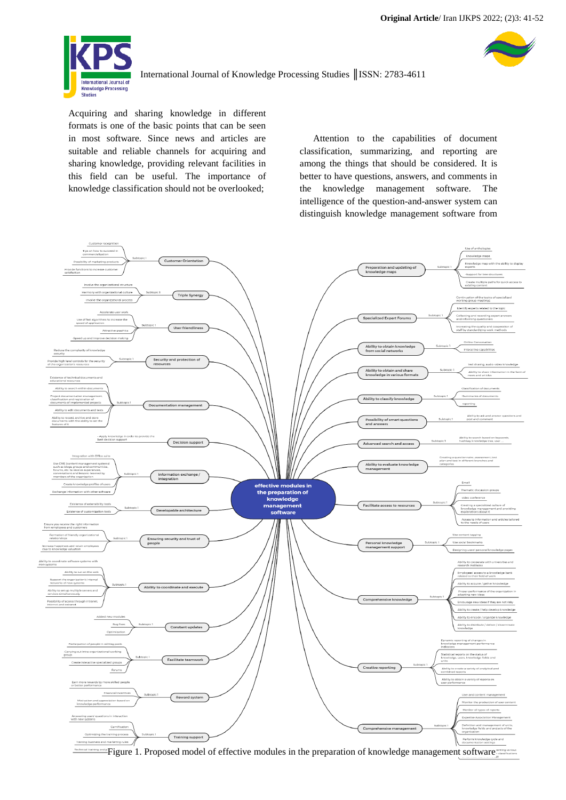

Acquiring and sharing knowledge in different formats is one of the basic points that can be seen in most software. Since news and articles are suitable and reliable channels for acquiring and sharing knowledge, providing relevant facilities in this field can be useful. The importance of knowledge classification should not be overlooked;

Attention to the capabilities of document classification, summarizing, and reporting are among the things that should be considered. It is better to have questions, answers, and comments in the knowledge management software. The intelligence of the question-and-answer system can distinguish knowledge management software from



Figure 1. Proposed model of effective modules in the preparation of knowledge management software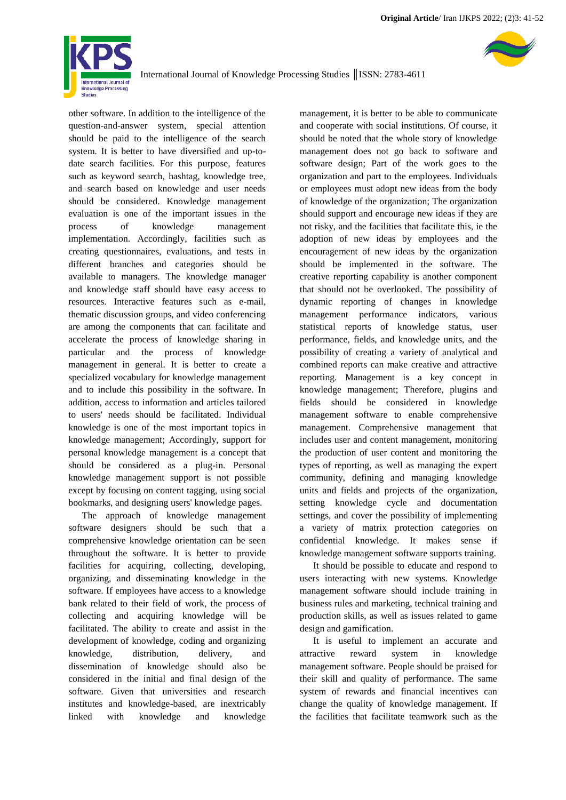

other software. In addition to the intelligence of the question-and-answer system, special attention should be paid to the intelligence of the search system. It is better to have diversified and up-todate search facilities. For this purpose, features such as keyword search, hashtag, knowledge tree, and search based on knowledge and user needs should be considered. Knowledge management evaluation is one of the important issues in the process of knowledge management implementation. Accordingly, facilities such as creating questionnaires, evaluations, and tests in different branches and categories should be available to managers. The knowledge manager and knowledge staff should have easy access to resources. Interactive features such as e-mail, thematic discussion groups, and video conferencing are among the components that can facilitate and accelerate the process of knowledge sharing in particular and the process of knowledge management in general. It is better to create a specialized vocabulary for knowledge management and to include this possibility in the software. In addition, access to information and articles tailored to users' needs should be facilitated. Individual knowledge is one of the most important topics in knowledge management; Accordingly, support for personal knowledge management is a concept that should be considered as a plug-in. Personal knowledge management support is not possible except by focusing on content tagging, using social bookmarks, and designing users' knowledge pages.

The approach of knowledge management software designers should be such that a comprehensive knowledge orientation can be seen throughout the software. It is better to provide facilities for acquiring, collecting, developing, organizing, and disseminating knowledge in the software. If employees have access to a knowledge bank related to their field of work, the process of collecting and acquiring knowledge will be facilitated. The ability to create and assist in the development of knowledge, coding and organizing knowledge, distribution, delivery, and dissemination of knowledge should also be considered in the initial and final design of the software. Given that universities and research institutes and knowledge-based, are inextricably linked with knowledge and knowledge

management, it is better to be able to communicate and cooperate with social institutions. Of course, it should be noted that the whole story of knowledge management does not go back to software and software design; Part of the work goes to the organization and part to the employees. Individuals or employees must adopt new ideas from the body of knowledge of the organization; The organization should support and encourage new ideas if they are not risky, and the facilities that facilitate this, ie the adoption of new ideas by employees and the encouragement of new ideas by the organization should be implemented in the software. The creative reporting capability is another component that should not be overlooked. The possibility of dynamic reporting of changes in knowledge management performance indicators, various statistical reports of knowledge status, user performance, fields, and knowledge units, and the possibility of creating a variety of analytical and combined reports can make creative and attractive reporting. Management is a key concept in knowledge management; Therefore, plugins and fields should be considered in knowledge management software to enable comprehensive management. Comprehensive management that includes user and content management, monitoring the production of user content and monitoring the types of reporting, as well as managing the expert community, defining and managing knowledge units and fields and projects of the organization, setting knowledge cycle and documentation settings, and cover the possibility of implementing a variety of matrix protection categories on confidential knowledge. It makes sense if knowledge management software supports training.

It should be possible to educate and respond to users interacting with new systems. Knowledge management software should include training in business rules and marketing, technical training and production skills, as well as issues related to game design and gamification.

It is useful to implement an accurate and attractive reward system in knowledge management software. People should be praised for their skill and quality of performance. The same system of rewards and financial incentives can change the quality of knowledge management. If the facilities that facilitate teamwork such as the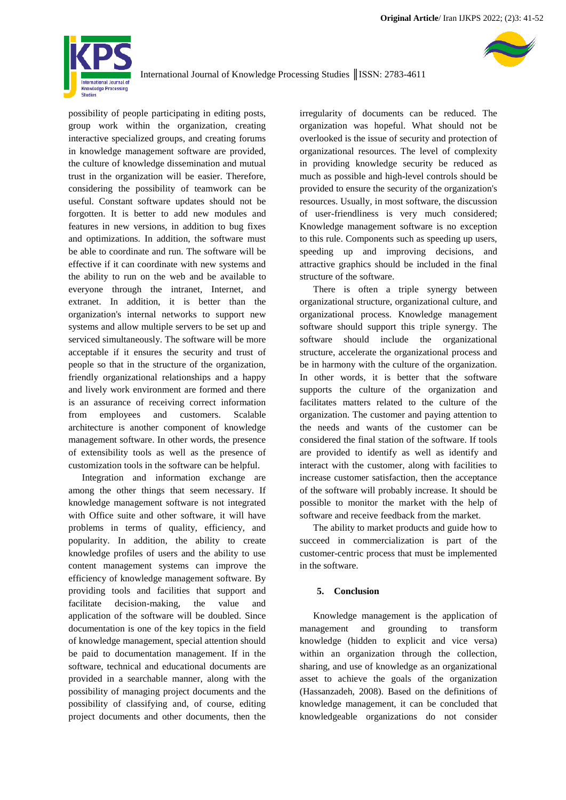

possibility of people participating in editing posts, group work within the organization, creating interactive specialized groups, and creating forums in knowledge management software are provided, the culture of knowledge dissemination and mutual trust in the organization will be easier. Therefore, considering the possibility of teamwork can be useful. Constant software updates should not be forgotten. It is better to add new modules and features in new versions, in addition to bug fixes and optimizations. In addition, the software must be able to coordinate and run. The software will be effective if it can coordinate with new systems and the ability to run on the web and be available to everyone through the intranet, Internet, and extranet. In addition, it is better than the organization's internal networks to support new systems and allow multiple servers to be set up and serviced simultaneously. The software will be more acceptable if it ensures the security and trust of people so that in the structure of the organization, friendly organizational relationships and a happy and lively work environment are formed and there is an assurance of receiving correct information from employees and customers. Scalable architecture is another component of knowledge management software. In other words, the presence of extensibility tools as well as the presence of customization tools in the software can be helpful.

Integration and information exchange are among the other things that seem necessary. If knowledge management software is not integrated with Office suite and other software, it will have problems in terms of quality, efficiency, and popularity. In addition, the ability to create knowledge profiles of users and the ability to use content management systems can improve the efficiency of knowledge management software. By providing tools and facilities that support and facilitate decision-making, the value and application of the software will be doubled. Since documentation is one of the key topics in the field of knowledge management, special attention should be paid to documentation management. If in the software, technical and educational documents are provided in a searchable manner, along with the possibility of managing project documents and the possibility of classifying and, of course, editing project documents and other documents, then the

irregularity of documents can be reduced. The organization was hopeful. What should not be overlooked is the issue of security and protection of organizational resources. The level of complexity in providing knowledge security be reduced as much as possible and high-level controls should be provided to ensure the security of the organization's resources. Usually, in most software, the discussion of user-friendliness is very much considered; Knowledge management software is no exception to this rule. Components such as speeding up users, speeding up and improving decisions, and attractive graphics should be included in the final structure of the software.

There is often a triple synergy between organizational structure, organizational culture, and organizational process. Knowledge management software should support this triple synergy. The software should include the organizational structure, accelerate the organizational process and be in harmony with the culture of the organization. In other words, it is better that the software supports the culture of the organization and facilitates matters related to the culture of the organization. The customer and paying attention to the needs and wants of the customer can be considered the final station of the software. If tools are provided to identify as well as identify and interact with the customer, along with facilities to increase customer satisfaction, then the acceptance of the software will probably increase. It should be possible to monitor the market with the help of software and receive feedback from the market.

The ability to market products and guide how to succeed in commercialization is part of the customer-centric process that must be implemented in the software.

#### **5. Conclusion**

Knowledge management is the application of management and grounding to transform knowledge (hidden to explicit and vice versa) within an organization through the collection, sharing, and use of knowledge as an organizational asset to achieve the goals of the organization (Hassanzadeh, 2008). Based on the definitions of knowledge management, it can be concluded that knowledgeable organizations do not consider